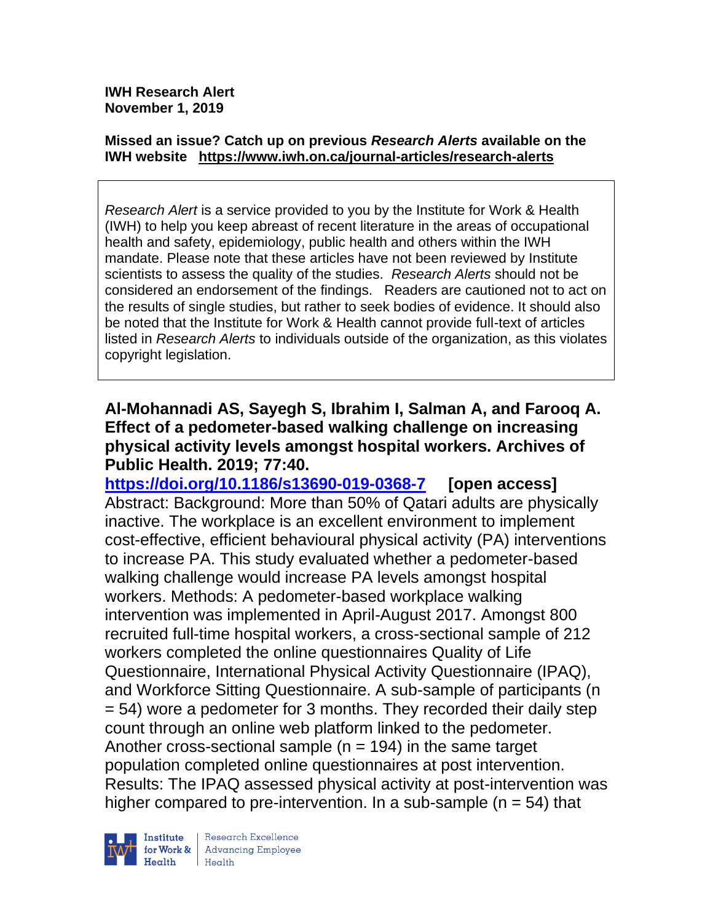**IWH Research Alert November 1, 2019**

#### **Missed an issue? Catch up on previous** *Research Alerts* **available on the [IWH website](http://www.iwh.on.ca/research-alerts) <https://www.iwh.on.ca/journal-articles/research-alerts>**

*Research Alert* is a service provided to you by the Institute for Work & Health (IWH) to help you keep abreast of recent literature in the areas of occupational health and safety, epidemiology, public health and others within the IWH mandate. Please note that these articles have not been reviewed by Institute scientists to assess the quality of the studies. *Research Alerts* should not be considered an endorsement of the findings. Readers are cautioned not to act on the results of single studies, but rather to seek bodies of evidence. It should also be noted that the Institute for Work & Health cannot provide full-text of articles listed in *Research Alerts* to individuals outside of the organization, as this violates copyright legislation.

### **Al-Mohannadi AS, Sayegh S, Ibrahim I, Salman A, and Farooq A. Effect of a pedometer-based walking challenge on increasing physical activity levels amongst hospital workers. Archives of Public Health. 2019; 77:40.**

**<https://doi.org/10.1186/s13690-019-0368-7> [open access]** Abstract: Background: More than 50% of Qatari adults are physically inactive. The workplace is an excellent environment to implement cost-effective, efficient behavioural physical activity (PA) interventions to increase PA. This study evaluated whether a pedometer-based walking challenge would increase PA levels amongst hospital workers. Methods: A pedometer-based workplace walking intervention was implemented in April-August 2017. Amongst 800 recruited full-time hospital workers, a cross-sectional sample of 212 workers completed the online questionnaires Quality of Life Questionnaire, International Physical Activity Questionnaire (IPAQ), and Workforce Sitting Questionnaire. A sub-sample of participants (n = 54) wore a pedometer for 3 months. They recorded their daily step count through an online web platform linked to the pedometer. Another cross-sectional sample  $(n = 194)$  in the same target population completed online questionnaires at post intervention. Results: The IPAQ assessed physical activity at post-intervention was higher compared to pre-intervention. In a sub-sample  $(n = 54)$  that



Research Excellence for Work & | Advancing Employee Health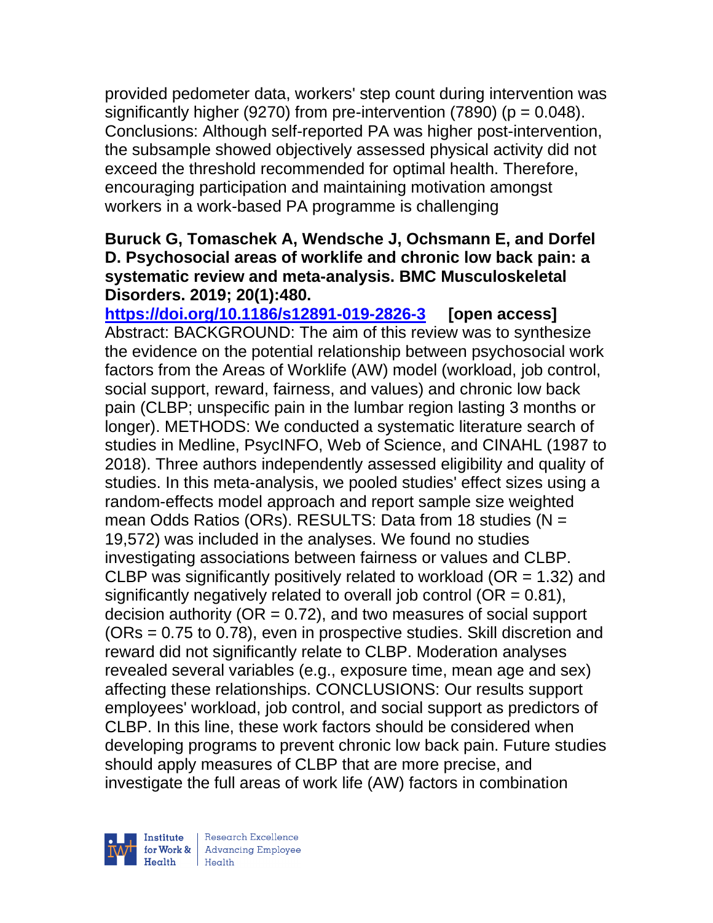provided pedometer data, workers' step count during intervention was significantly higher (9270) from pre-intervention (7890) ( $p = 0.048$ ). Conclusions: Although self-reported PA was higher post-intervention, the subsample showed objectively assessed physical activity did not exceed the threshold recommended for optimal health. Therefore, encouraging participation and maintaining motivation amongst workers in a work-based PA programme is challenging

#### **Buruck G, Tomaschek A, Wendsche J, Ochsmann E, and Dorfel D. Psychosocial areas of worklife and chronic low back pain: a systematic review and meta-analysis. BMC Musculoskeletal Disorders. 2019; 20(1):480.**

**<https://doi.org/10.1186/s12891-019-2826-3> [open access]** Abstract: BACKGROUND: The aim of this review was to synthesize the evidence on the potential relationship between psychosocial work factors from the Areas of Worklife (AW) model (workload, job control, social support, reward, fairness, and values) and chronic low back pain (CLBP; unspecific pain in the lumbar region lasting 3 months or longer). METHODS: We conducted a systematic literature search of studies in Medline, PsycINFO, Web of Science, and CINAHL (1987 to 2018). Three authors independently assessed eligibility and quality of studies. In this meta-analysis, we pooled studies' effect sizes using a random-effects model approach and report sample size weighted mean Odds Ratios (ORs). RESULTS: Data from 18 studies (N = 19,572) was included in the analyses. We found no studies investigating associations between fairness or values and CLBP. CLBP was significantly positively related to workload ( $OR = 1.32$ ) and significantly negatively related to overall job control ( $OR = 0.81$ ), decision authority ( $OR = 0.72$ ), and two measures of social support (ORs = 0.75 to 0.78), even in prospective studies. Skill discretion and reward did not significantly relate to CLBP. Moderation analyses revealed several variables (e.g., exposure time, mean age and sex) affecting these relationships. CONCLUSIONS: Our results support employees' workload, job control, and social support as predictors of CLBP. In this line, these work factors should be considered when developing programs to prevent chronic low back pain. Future studies should apply measures of CLBP that are more precise, and investigate the full areas of work life (AW) factors in combination



| Research Excellence for Work & | Advancing Employee  $Heath$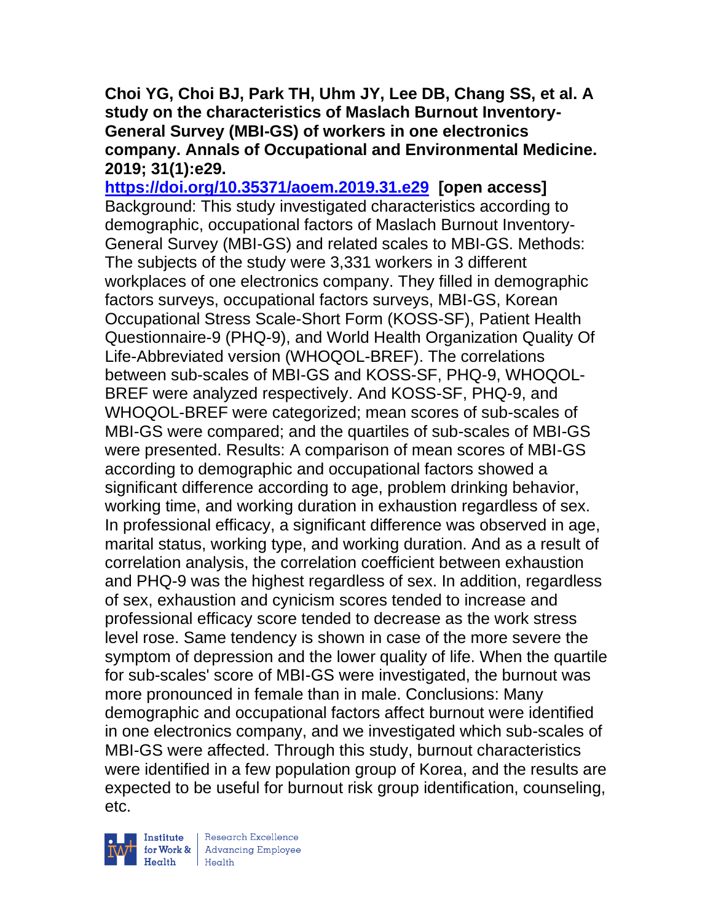**Choi YG, Choi BJ, Park TH, Uhm JY, Lee DB, Chang SS, et al. A study on the characteristics of Maslach Burnout Inventory-General Survey (MBI-GS) of workers in one electronics company. Annals of Occupational and Environmental Medicine. 2019; 31(1):e29.**

**<https://doi.org/10.35371/aoem.2019.31.e29> [open access]**  Background: This study investigated characteristics according to demographic, occupational factors of Maslach Burnout Inventory-General Survey (MBI-GS) and related scales to MBI-GS. Methods: The subjects of the study were 3,331 workers in 3 different workplaces of one electronics company. They filled in demographic factors surveys, occupational factors surveys, MBI-GS, Korean Occupational Stress Scale-Short Form (KOSS-SF), Patient Health Questionnaire-9 (PHQ-9), and World Health Organization Quality Of Life-Abbreviated version (WHOQOL-BREF). The correlations between sub-scales of MBI-GS and KOSS-SF, PHQ-9, WHOQOL-BREF were analyzed respectively. And KOSS-SF, PHQ-9, and WHOQOL-BREF were categorized; mean scores of sub-scales of MBI-GS were compared; and the quartiles of sub-scales of MBI-GS were presented. Results: A comparison of mean scores of MBI-GS according to demographic and occupational factors showed a significant difference according to age, problem drinking behavior, working time, and working duration in exhaustion regardless of sex. In professional efficacy, a significant difference was observed in age, marital status, working type, and working duration. And as a result of correlation analysis, the correlation coefficient between exhaustion and PHQ-9 was the highest regardless of sex. In addition, regardless of sex, exhaustion and cynicism scores tended to increase and professional efficacy score tended to decrease as the work stress level rose. Same tendency is shown in case of the more severe the symptom of depression and the lower quality of life. When the quartile for sub-scales' score of MBI-GS were investigated, the burnout was more pronounced in female than in male. Conclusions: Many demographic and occupational factors affect burnout were identified in one electronics company, and we investigated which sub-scales of MBI-GS were affected. Through this study, burnout characteristics were identified in a few population group of Korea, and the results are expected to be useful for burnout risk group identification, counseling, etc.



| Research Excellence for Work & Advancing Employee<br>Health Health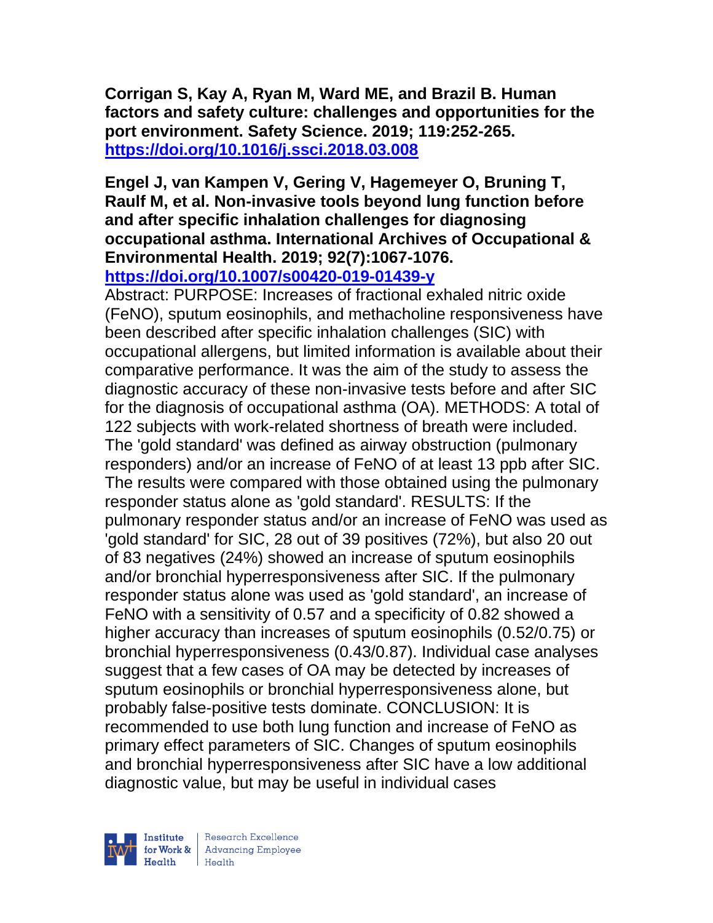**Corrigan S, Kay A, Ryan M, Ward ME, and Brazil B. Human factors and safety culture: challenges and opportunities for the port environment. Safety Science. 2019; 119:252-265. <https://doi.org/10.1016/j.ssci.2018.03.008>** 

## **Engel J, van Kampen V, Gering V, Hagemeyer O, Bruning T, Raulf M, et al. Non-invasive tools beyond lung function before and after specific inhalation challenges for diagnosing occupational asthma. International Archives of Occupational & Environmental Health. 2019; 92(7):1067-1076.**

**<https://doi.org/10.1007/s00420-019-01439-y>** 

Abstract: PURPOSE: Increases of fractional exhaled nitric oxide (FeNO), sputum eosinophils, and methacholine responsiveness have been described after specific inhalation challenges (SIC) with occupational allergens, but limited information is available about their comparative performance. It was the aim of the study to assess the diagnostic accuracy of these non-invasive tests before and after SIC for the diagnosis of occupational asthma (OA). METHODS: A total of 122 subjects with work-related shortness of breath were included. The 'gold standard' was defined as airway obstruction (pulmonary responders) and/or an increase of FeNO of at least 13 ppb after SIC. The results were compared with those obtained using the pulmonary responder status alone as 'gold standard'. RESULTS: If the pulmonary responder status and/or an increase of FeNO was used as 'gold standard' for SIC, 28 out of 39 positives (72%), but also 20 out of 83 negatives (24%) showed an increase of sputum eosinophils and/or bronchial hyperresponsiveness after SIC. If the pulmonary responder status alone was used as 'gold standard', an increase of FeNO with a sensitivity of 0.57 and a specificity of 0.82 showed a higher accuracy than increases of sputum eosinophils (0.52/0.75) or bronchial hyperresponsiveness (0.43/0.87). Individual case analyses suggest that a few cases of OA may be detected by increases of sputum eosinophils or bronchial hyperresponsiveness alone, but probably false-positive tests dominate. CONCLUSION: It is recommended to use both lung function and increase of FeNO as primary effect parameters of SIC. Changes of sputum eosinophils and bronchial hyperresponsiveness after SIC have a low additional diagnostic value, but may be useful in individual cases



| Research Excellence for Work & Advancing Employee<br>Health Health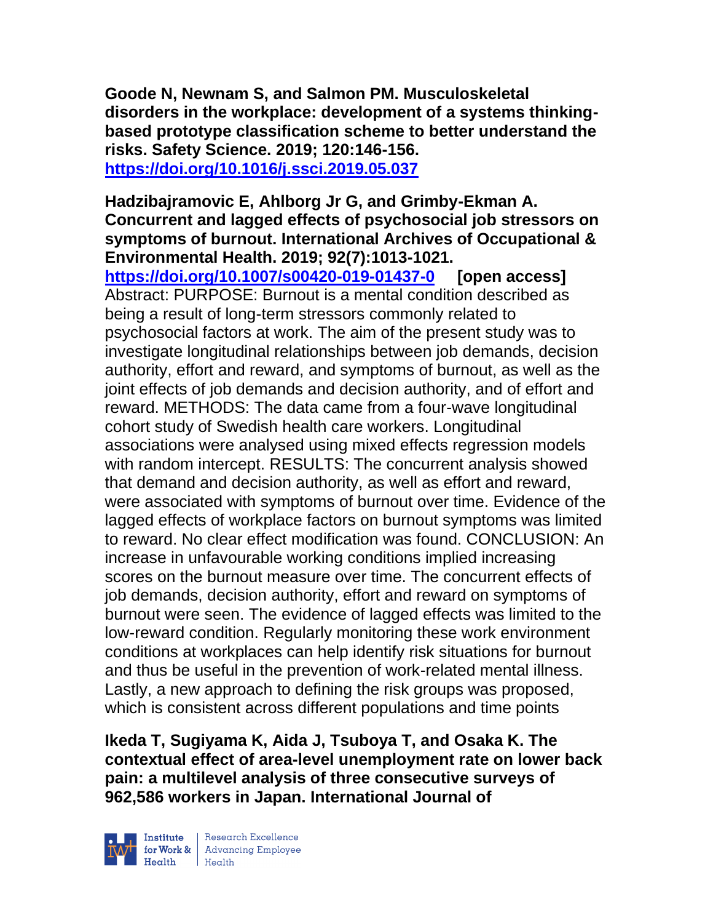**Goode N, Newnam S, and Salmon PM. Musculoskeletal disorders in the workplace: development of a systems thinkingbased prototype classification scheme to better understand the risks. Safety Science. 2019; 120:146-156. <https://doi.org/10.1016/j.ssci.2019.05.037>** 

### **Hadzibajramovic E, Ahlborg Jr G, and Grimby-Ekman A. Concurrent and lagged effects of psychosocial job stressors on symptoms of burnout. International Archives of Occupational & Environmental Health. 2019; 92(7):1013-1021.**

**<https://doi.org/10.1007/s00420-019-01437-0> [open access]** Abstract: PURPOSE: Burnout is a mental condition described as being a result of long-term stressors commonly related to psychosocial factors at work. The aim of the present study was to investigate longitudinal relationships between job demands, decision authority, effort and reward, and symptoms of burnout, as well as the joint effects of job demands and decision authority, and of effort and reward. METHODS: The data came from a four-wave longitudinal cohort study of Swedish health care workers. Longitudinal associations were analysed using mixed effects regression models with random intercept. RESULTS: The concurrent analysis showed that demand and decision authority, as well as effort and reward, were associated with symptoms of burnout over time. Evidence of the lagged effects of workplace factors on burnout symptoms was limited to reward. No clear effect modification was found. CONCLUSION: An increase in unfavourable working conditions implied increasing scores on the burnout measure over time. The concurrent effects of job demands, decision authority, effort and reward on symptoms of burnout were seen. The evidence of lagged effects was limited to the low-reward condition. Regularly monitoring these work environment conditions at workplaces can help identify risk situations for burnout and thus be useful in the prevention of work-related mental illness. Lastly, a new approach to defining the risk groups was proposed, which is consistent across different populations and time points

**Ikeda T, Sugiyama K, Aida J, Tsuboya T, and Osaka K. The contextual effect of area-level unemployment rate on lower back pain: a multilevel analysis of three consecutive surveys of 962,586 workers in Japan. International Journal of** 



| Research Excellence for Work & Advancing Employee<br>Health Health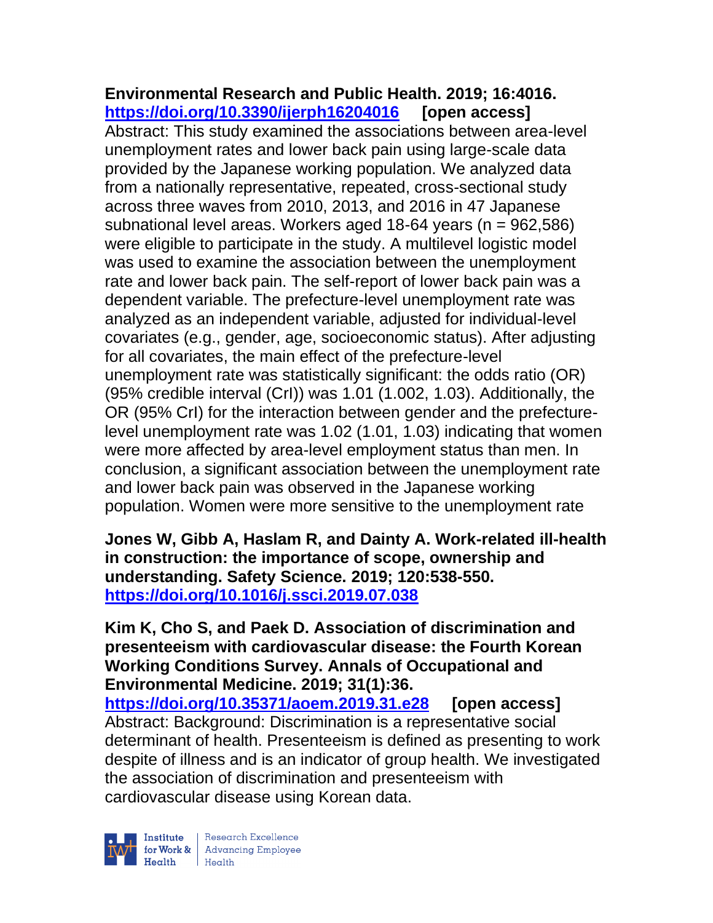#### **Environmental Research and Public Health. 2019; 16:4016. <https://doi.org/10.3390/ijerph16204016> [open access]**

Abstract: This study examined the associations between area-level unemployment rates and lower back pain using large-scale data provided by the Japanese working population. We analyzed data from a nationally representative, repeated, cross-sectional study across three waves from 2010, 2013, and 2016 in 47 Japanese subnational level areas. Workers aged 18-64 years ( $n = 962,586$ ) were eligible to participate in the study. A multilevel logistic model was used to examine the association between the unemployment rate and lower back pain. The self-report of lower back pain was a dependent variable. The prefecture-level unemployment rate was analyzed as an independent variable, adjusted for individual-level covariates (e.g., gender, age, socioeconomic status). After adjusting for all covariates, the main effect of the prefecture-level unemployment rate was statistically significant: the odds ratio (OR) (95% credible interval (CrI)) was 1.01 (1.002, 1.03). Additionally, the OR (95% CrI) for the interaction between gender and the prefecturelevel unemployment rate was 1.02 (1.01, 1.03) indicating that women were more affected by area-level employment status than men. In conclusion, a significant association between the unemployment rate and lower back pain was observed in the Japanese working population. Women were more sensitive to the unemployment rate

**Jones W, Gibb A, Haslam R, and Dainty A. Work-related ill-health in construction: the importance of scope, ownership and understanding. Safety Science. 2019; 120:538-550. <https://doi.org/10.1016/j.ssci.2019.07.038>** 

**Kim K, Cho S, and Paek D. Association of discrimination and presenteeism with cardiovascular disease: the Fourth Korean Working Conditions Survey. Annals of Occupational and Environmental Medicine. 2019; 31(1):36. <https://doi.org/10.35371/aoem.2019.31.e28> [open access]**

Abstract: Background: Discrimination is a representative social determinant of health. Presenteeism is defined as presenting to work despite of illness and is an indicator of group health. We investigated the association of discrimination and presenteeism with cardiovascular disease using Korean data.

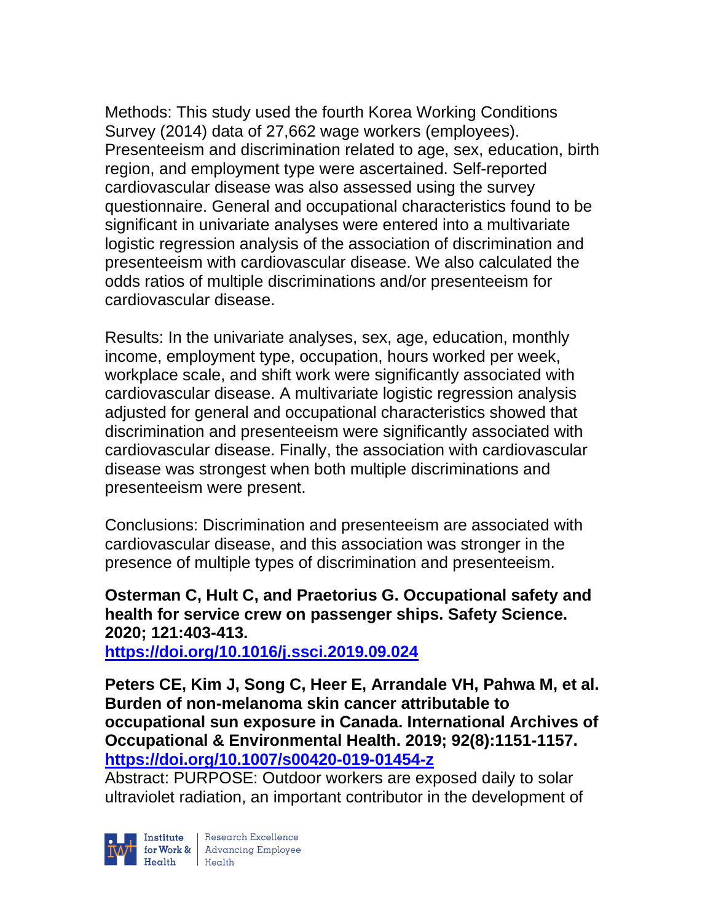Methods: This study used the fourth Korea Working Conditions Survey (2014) data of 27,662 wage workers (employees). Presenteeism and discrimination related to age, sex, education, birth region, and employment type were ascertained. Self-reported cardiovascular disease was also assessed using the survey questionnaire. General and occupational characteristics found to be significant in univariate analyses were entered into a multivariate logistic regression analysis of the association of discrimination and presenteeism with cardiovascular disease. We also calculated the odds ratios of multiple discriminations and/or presenteeism for cardiovascular disease.

Results: In the univariate analyses, sex, age, education, monthly income, employment type, occupation, hours worked per week, workplace scale, and shift work were significantly associated with cardiovascular disease. A multivariate logistic regression analysis adjusted for general and occupational characteristics showed that discrimination and presenteeism were significantly associated with cardiovascular disease. Finally, the association with cardiovascular disease was strongest when both multiple discriminations and presenteeism were present.

Conclusions: Discrimination and presenteeism are associated with cardiovascular disease, and this association was stronger in the presence of multiple types of discrimination and presenteeism.

**Osterman C, Hult C, and Praetorius G. Occupational safety and health for service crew on passenger ships. Safety Science. 2020; 121:403-413.** 

**<https://doi.org/10.1016/j.ssci.2019.09.024>** 

**Peters CE, Kim J, Song C, Heer E, Arrandale VH, Pahwa M, et al. Burden of non-melanoma skin cancer attributable to occupational sun exposure in Canada. International Archives of Occupational & Environmental Health. 2019; 92(8):1151-1157. <https://doi.org/10.1007/s00420-019-01454-z>** 

Abstract: PURPOSE: Outdoor workers are exposed daily to solar ultraviolet radiation, an important contributor in the development of

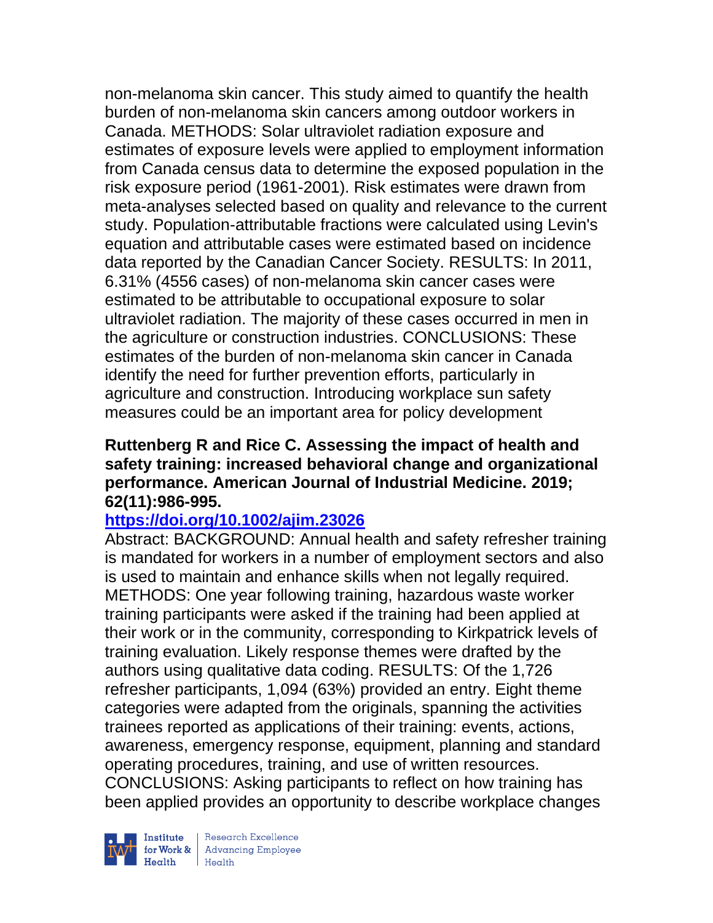non-melanoma skin cancer. This study aimed to quantify the health burden of non-melanoma skin cancers among outdoor workers in Canada. METHODS: Solar ultraviolet radiation exposure and estimates of exposure levels were applied to employment information from Canada census data to determine the exposed population in the risk exposure period (1961-2001). Risk estimates were drawn from meta-analyses selected based on quality and relevance to the current study. Population-attributable fractions were calculated using Levin's equation and attributable cases were estimated based on incidence data reported by the Canadian Cancer Society. RESULTS: In 2011, 6.31% (4556 cases) of non-melanoma skin cancer cases were estimated to be attributable to occupational exposure to solar ultraviolet radiation. The majority of these cases occurred in men in the agriculture or construction industries. CONCLUSIONS: These estimates of the burden of non-melanoma skin cancer in Canada identify the need for further prevention efforts, particularly in agriculture and construction. Introducing workplace sun safety measures could be an important area for policy development

#### **Ruttenberg R and Rice C. Assessing the impact of health and safety training: increased behavioral change and organizational performance. American Journal of Industrial Medicine. 2019; 62(11):986-995.**

### **<https://doi.org/10.1002/ajim.23026>**

Abstract: BACKGROUND: Annual health and safety refresher training is mandated for workers in a number of employment sectors and also is used to maintain and enhance skills when not legally required. METHODS: One year following training, hazardous waste worker training participants were asked if the training had been applied at their work or in the community, corresponding to Kirkpatrick levels of training evaluation. Likely response themes were drafted by the authors using qualitative data coding. RESULTS: Of the 1,726 refresher participants, 1,094 (63%) provided an entry. Eight theme categories were adapted from the originals, spanning the activities trainees reported as applications of their training: events, actions, awareness, emergency response, equipment, planning and standard operating procedures, training, and use of written resources. CONCLUSIONS: Asking participants to reflect on how training has been applied provides an opportunity to describe workplace changes



| Research Excellence **Institute** Research Excellence<br> **Fractional Advancing Employee**<br> **Health** Health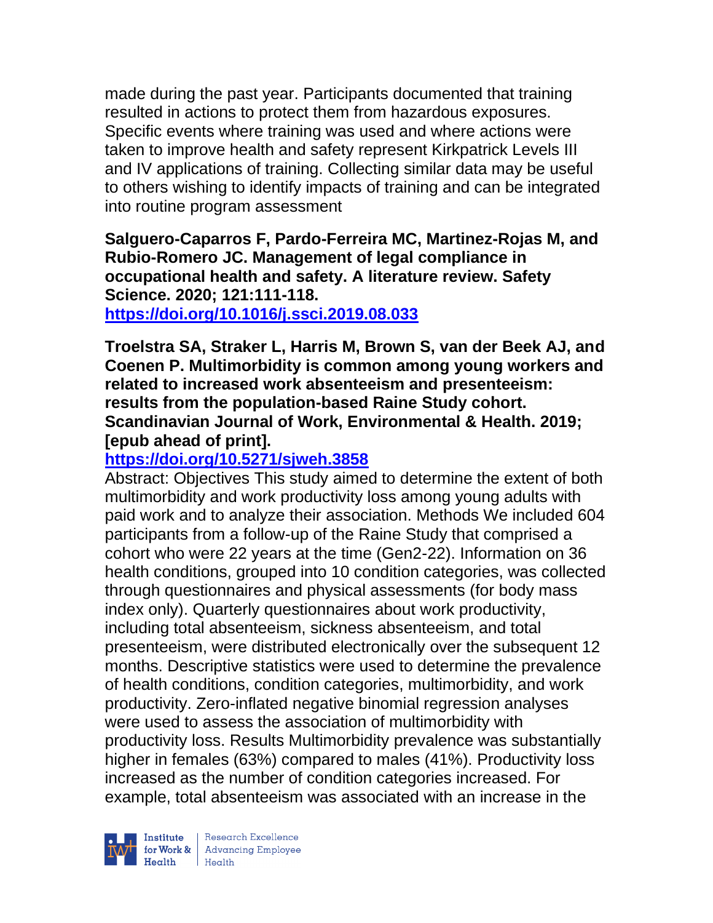made during the past year. Participants documented that training resulted in actions to protect them from hazardous exposures. Specific events where training was used and where actions were taken to improve health and safety represent Kirkpatrick Levels III and IV applications of training. Collecting similar data may be useful to others wishing to identify impacts of training and can be integrated into routine program assessment

**Salguero-Caparros F, Pardo-Ferreira MC, Martinez-Rojas M, and Rubio-Romero JC. Management of legal compliance in occupational health and safety. A literature review. Safety Science. 2020; 121:111-118.** 

**<https://doi.org/10.1016/j.ssci.2019.08.033>** 

**Troelstra SA, Straker L, Harris M, Brown S, van der Beek AJ, and Coenen P. Multimorbidity is common among young workers and related to increased work absenteeism and presenteeism: results from the population-based Raine Study cohort. Scandinavian Journal of Work, Environmental & Health. 2019; [epub ahead of print].**

# **<https://doi.org/10.5271/sjweh.3858>**

Abstract: Objectives This study aimed to determine the extent of both multimorbidity and work productivity loss among young adults with paid work and to analyze their association. Methods We included 604 participants from a follow-up of the Raine Study that comprised a cohort who were 22 years at the time (Gen2-22). Information on 36 health conditions, grouped into 10 condition categories, was collected through questionnaires and physical assessments (for body mass index only). Quarterly questionnaires about work productivity, including total absenteeism, sickness absenteeism, and total presenteeism, were distributed electronically over the subsequent 12 months. Descriptive statistics were used to determine the prevalence of health conditions, condition categories, multimorbidity, and work productivity. Zero-inflated negative binomial regression analyses were used to assess the association of multimorbidity with productivity loss. Results Multimorbidity prevalence was substantially higher in females (63%) compared to males (41%). Productivity loss increased as the number of condition categories increased. For example, total absenteeism was associated with an increase in the